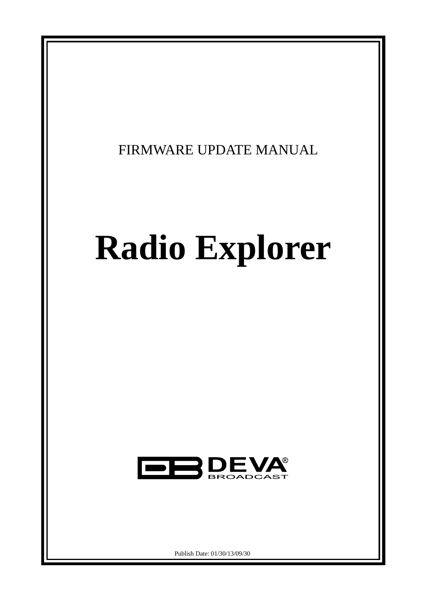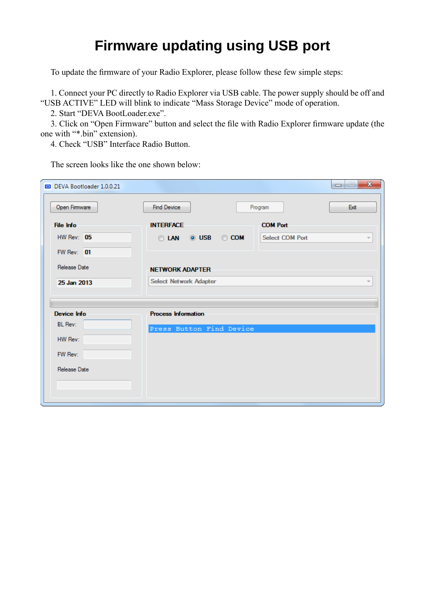## **Firmware updating using USB port**

То update the firmware of your Radio Explorer, please follow these few simple steps:

1. Connect your PC directly to Radio Explorer via USB cable. The power supply should be off and "USB ACTIVE" LED will blink to indicate "Mass Storage Device" mode of operation.

2. Start "DEVA BootLoader.exe".

3. Click on "Open Firmware" button and select the file with Radio Explorer firmware update (the one with "\*.bin" extension).

4. Check "USB" Interface Radio Button.

| DEVA Bootloader 1.0.0.21 |                               | $\mathbf{x}$<br>$\Box$                             |
|--------------------------|-------------------------------|----------------------------------------------------|
| Open Firmware            | <b>Find Device</b>            | Exit<br>Program                                    |
| File Info                | <b>INTERFACE</b>              | <b>COM Port</b>                                    |
| $HW$ Rev: $05$           | ◎ USB ◎ COM<br><b>OLAN</b>    | <b>Select COM Port</b><br>$\overline{\phantom{a}}$ |
| FW Rev: 01               |                               |                                                    |
| Release Date             | <b>NETWORK ADAPTER</b>        |                                                    |
| 25 Jan 2013              | <b>Select Network Adapter</b> | $\overline{\phantom{a}}$                           |
|                          |                               |                                                    |
| <b>Device Info</b>       | <b>Process Information</b>    |                                                    |
| <b>BL</b> Rev:           | Press Button Find Device      |                                                    |
| HW Rev:                  |                               |                                                    |
| FW Rev:                  |                               |                                                    |
| Release Date             |                               |                                                    |
|                          |                               |                                                    |
|                          |                               |                                                    |

The screen looks like the one shown below: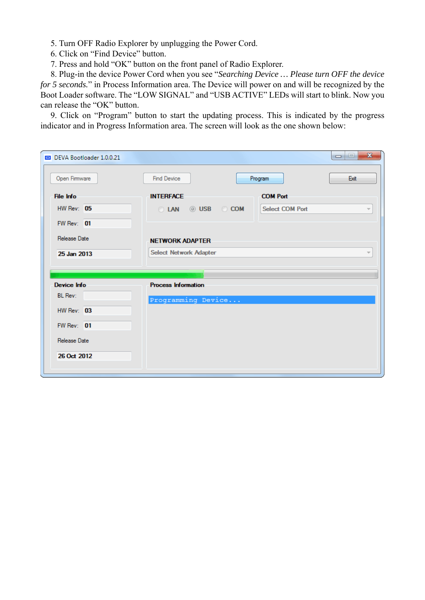5. Turn OFF Radio Explorer by unplugging the Power Cord.

- 6. Click on "Find Device" button.
- 7. Press and hold "OK" button on the front panel of Radio Explorer.

8. Plug-in the device Power Cord when you see "*Searching Device … Please turn OFF the device for 5 seconds.*" in Process Information area. The Device will power on and will be recognized by the Boot Loader software. The "LOW SIGNAL" and "USB ACTIVE" LEDs will start to blink. Now you can release the "OK" button.

9. Click on "Program" button to start the updating process. This is indicated by the progress indicator and in Progress Information area. The screen will look as the one shown below:

| DEVA Bootloader 1.0.0.21                                                                     |                                                                                                                      | $\mathbf{x}$<br>$\Box$ |
|----------------------------------------------------------------------------------------------|----------------------------------------------------------------------------------------------------------------------|------------------------|
| Open Firmware                                                                                | <b>Find Device</b><br>Program                                                                                        | Exit                   |
| File Info<br>$HW$ Rev: $05$<br>FW Rev: 01<br>Release Date                                    | <b>INTERFACE</b><br><b>COM Port</b><br><b>Select COM Port</b><br>© USB © COM<br><b>LAN</b><br><b>NETWORK ADAPTER</b> | $\overline{\psi}$      |
| 25 Jan 2013                                                                                  | <b>Select Network Adapter</b>                                                                                        |                        |
| Device Info<br><b>BL</b> Rev:<br>$HW$ Rev: $03$<br>FW Rev: 01<br>Release Date<br>26 Oct 2012 | <b>Process Information</b><br>Programming Device                                                                     |                        |